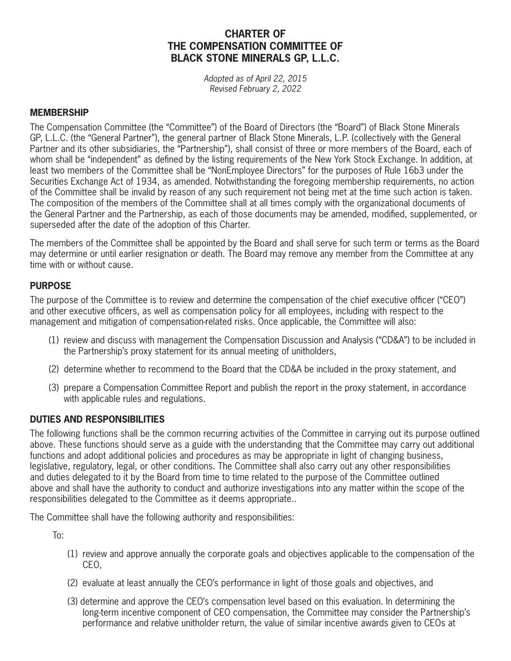# **CHARTER OF THE COMPENSATION COMMITTEE OF BLACK STONE MINERALS GP, L.L.C.**

*Adopted as of April 22, 2015 Revised February 2, 2022*

#### **MEMBERSHIP**

The Compensation Committee (the "Committee") of the Board of Directors (the "Board") of Black Stone Minerals GP, L.L.C. (the "General Partner"), the general partner of Black Stone Minerals, L.P. (collectively with the General Partner and its other subsidiaries, the "Partnership"), shall consist of three or more members of the Board, each of whom shall be "independent" as defined by the listing requirements of the New York Stock Exchange. In addition, at least two members of the Committee shall be "NonEmployee Directors" for the purposes of Rule 16b3 under the Securities Exchange Act of 1934, as amended. Notwithstanding the foregoing membership requirements, no action of the Committee shall be invalid by reason of any such requirement not being met at the time such action is taken. The composition of the members of the Committee shall at all times comply with the organizational documents of the General Partner and the Partnership, as each of those documents may be amended, modified, supplemented, or superseded after the date of the adoption of this Charter.

The members of the Committee shall be appointed by the Board and shall serve for such term or terms as the Board may determine or until earlier resignation or death. The Board may remove any member from the Committee at any time with or without cause.

## **PURPOSE**

The purpose of the Committee is to review and determine the compensation of the chief executive officer ("CEO") and other executive officers, as well as compensation policy for all employees, including with respect to the management and mitigation of compensation-related risks. Once applicable, the Committee will also:

- (1) review and discuss with management the Compensation Discussion and Analysis ("CD&A") to be included in the Partnership's proxy statement for its annual meeting of unitholders,
- (2) determine whether to recommend to the Board that the CD&A be included in the proxy statement, and
- (3) prepare a Compensation Committee Report and publish the report in the proxy statement, in accordance with applicable rules and regulations.

## **DUTIES AND RESPONSIBILITIES**

The following functions shall be the common recurring activities of the Committee in carrying out its purpose outlined above. These functions should serve as a guide with the understanding that the Committee may carry out additional functions and adopt additional policies and procedures as may be appropriate in light of changing business, legislative, regulatory, legal, or other conditions. The Committee shall also carry out any other responsibilities and duties delegated to it by the Board from time to time related to the purpose of the Committee outlined above and shall have the authority to conduct and authorize investigations into any matter within the scope of the responsibilities delegated to the Committee as it deems appropriate..

The Committee shall have the following authority and responsibilities:

To:

- (1) review and approve annually the corporate goals and objectives applicable to the compensation of the CEO,
- (2) evaluate at least annually the CEO's performance in light of those goals and objectives, and
- (3) determine and approve the CEO's compensation level based on this evaluation. In determining the long-term incentive component of CEO compensation, the Committee may consider the Partnership's performance and relative unitholder return, the value of similar incentive awards given to CEOs at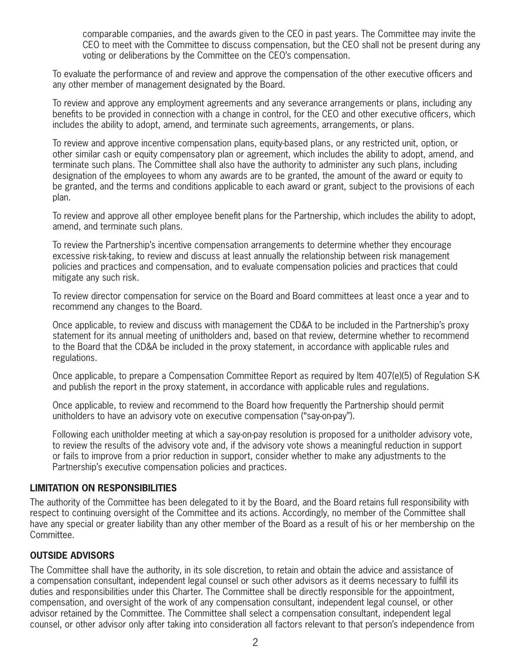comparable companies, and the awards given to the CEO in past years. The Committee may invite the CEO to meet with the Committee to discuss compensation, but the CEO shall not be present during any voting or deliberations by the Committee on the CEO's compensation.

To evaluate the performance of and review and approve the compensation of the other executive officers and any other member of management designated by the Board.

To review and approve any employment agreements and any severance arrangements or plans, including any benefits to be provided in connection with a change in control, for the CEO and other executive officers, which includes the ability to adopt, amend, and terminate such agreements, arrangements, or plans.

To review and approve incentive compensation plans, equity-based plans, or any restricted unit, option, or other similar cash or equity compensatory plan or agreement, which includes the ability to adopt, amend, and terminate such plans. The Committee shall also have the authority to administer any such plans, including designation of the employees to whom any awards are to be granted, the amount of the award or equity to be granted, and the terms and conditions applicable to each award or grant, subject to the provisions of each plan.

To review and approve all other employee benefit plans for the Partnership, which includes the ability to adopt, amend, and terminate such plans.

To review the Partnership's incentive compensation arrangements to determine whether they encourage excessive risk-taking, to review and discuss at least annually the relationship between risk management policies and practices and compensation, and to evaluate compensation policies and practices that could mitigate any such risk.

To review director compensation for service on the Board and Board committees at least once a year and to recommend any changes to the Board.

Once applicable, to review and discuss with management the CD&A to be included in the Partnership's proxy statement for its annual meeting of unitholders and, based on that review, determine whether to recommend to the Board that the CD&A be included in the proxy statement, in accordance with applicable rules and regulations.

Once applicable, to prepare a Compensation Committee Report as required by Item 407(e)(5) of Regulation S-K and publish the report in the proxy statement, in accordance with applicable rules and regulations.

Once applicable, to review and recommend to the Board how frequently the Partnership should permit unitholders to have an advisory vote on executive compensation ("say-on-pay").

Following each unitholder meeting at which a say-on-pay resolution is proposed for a unitholder advisory vote, to review the results of the advisory vote and, if the advisory vote shows a meaningful reduction in support or fails to improve from a prior reduction in support, consider whether to make any adjustments to the Partnership's executive compensation policies and practices.

#### **LIMITATION ON RESPONSIBILITIES**

The authority of the Committee has been delegated to it by the Board, and the Board retains full responsibility with respect to continuing oversight of the Committee and its actions. Accordingly, no member of the Committee shall have any special or greater liability than any other member of the Board as a result of his or her membership on the Committee.

#### **OUTSIDE ADVISORS**

The Committee shall have the authority, in its sole discretion, to retain and obtain the advice and assistance of a compensation consultant, independent legal counsel or such other advisors as it deems necessary to fulfill its duties and responsibilities under this Charter. The Committee shall be directly responsible for the appointment, compensation, and oversight of the work of any compensation consultant, independent legal counsel, or other advisor retained by the Committee. The Committee shall select a compensation consultant, independent legal counsel, or other advisor only after taking into consideration all factors relevant to that person's independence from